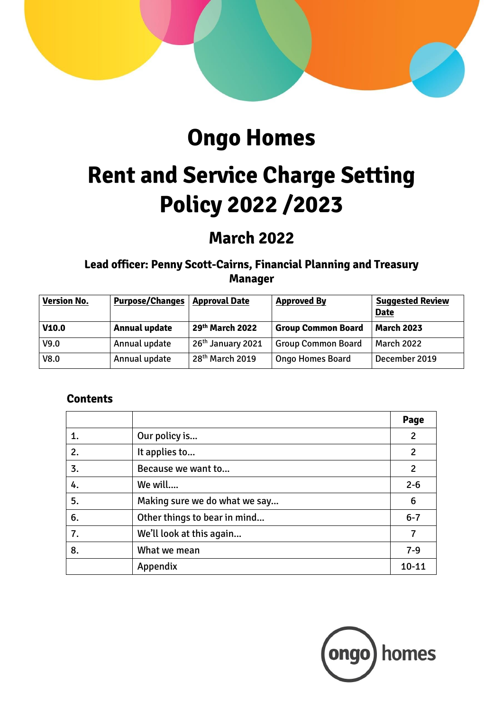

# **Ongo Homes**

# **Rent and Service Charge Setting Policy 2022 /2023**

# **March 2022**

**Lead officer: Penny Scott-Cairns, Financial Planning and Treasury Manager**

| <b>Version No.</b> | <b>Purpose/Changes</b> | <b>Approval Date</b>          | <b>Approved By</b>        | <b>Suggested Review</b><br><b>Date</b> |
|--------------------|------------------------|-------------------------------|---------------------------|----------------------------------------|
| V10.0              | <b>Annual update</b>   | 29th March 2022               | <b>Group Common Board</b> | <b>March 2023</b>                      |
| V9.0               | Annual update          | 26 <sup>th</sup> January 2021 | <b>Group Common Board</b> | <b>March 2022</b>                      |
| V8.0               | Annual update          | $28th$ March 2019             | <b>Ongo Homes Board</b>   | December 2019                          |

# **Contents**

|    |                               | Page           |
|----|-------------------------------|----------------|
| 1. | Our policy is                 | $\overline{2}$ |
| 2. | It applies to                 | $\overline{2}$ |
| 3. | Because we want to            | $\overline{2}$ |
| 4. | We will                       | $2 - 6$        |
| 5. | Making sure we do what we say | 6              |
| 6. | Other things to bear in mind  | $6 - 7$        |
| 7. | We'll look at this again      | 7              |
| 8. | What we mean                  | $7 - 9$        |
|    | Appendix                      | $10 - 11$      |

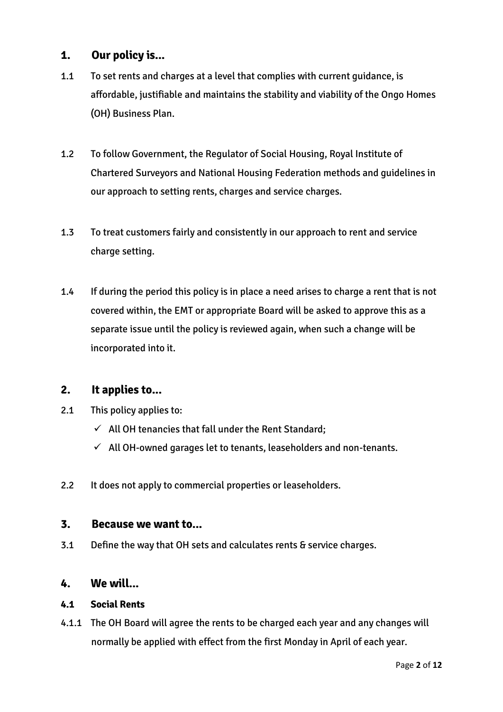## **1. Our policy is...**

- 1.1 To set rents and charges at a level that complies with current guidance, is affordable, justifiable and maintains the stability and viability of the Ongo Homes (OH) Business Plan.
- 1.2 To follow Government, the Regulator of Social Housing, Royal Institute of Chartered Surveyors and National Housing Federation methods and guidelines in our approach to setting rents, charges and service charges.
- 1.3 To treat customers fairly and consistently in our approach to rent and service charge setting.
- 1.4 If during the period this policy is in place a need arises to charge a rent that is not covered within, the EMT or appropriate Board will be asked to approve this as a separate issue until the policy is reviewed again, when such a change will be incorporated into it.

## **2. It applies to...**

- 2.1 This policy applies to:
	- $\checkmark$  All OH tenancies that fall under the Rent Standard;
	- $\checkmark$  All OH-owned garages let to tenants, leaseholders and non-tenants.
- 2.2 It does not apply to commercial properties or leaseholders.

#### **3. Because we want to...**

3.1 Define the way that OH sets and calculates rents & service charges.

#### **4. We will...**

#### **4.1 Social Rents**

4.1.1 The OH Board will agree the rents to be charged each year and any changes will normally be applied with effect from the first Monday in April of each year.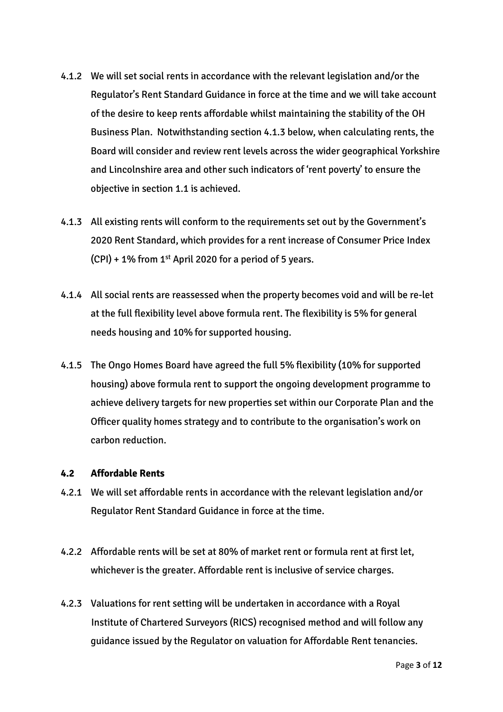- 4.1.2 We will set social rents in accordance with the relevant legislation and/or the Regulator's Rent Standard Guidance in force at the time and we will take account of the desire to keep rents affordable whilst maintaining the stability of the OH Business Plan. Notwithstanding section 4.1.3 below, when calculating rents, the Board will consider and review rent levels across the wider geographical Yorkshire and Lincolnshire area and other such indicators of 'rent poverty' to ensure the objective in section 1.1 is achieved.
- 4.1.3 All existing rents will conform to the requirements set out by the Government's 2020 Rent Standard, which provides for a rent increase of Consumer Price Index  $(CPI) + 1\%$  from 1<sup>st</sup> April 2020 for a period of 5 years.
- 4.1.4 All social rents are reassessed when the property becomes void and will be re-let at the full flexibility level above formula rent. The flexibility is 5% for general needs housing and 10% for supported housing.
- 4.1.5 The Ongo Homes Board have agreed the full 5% flexibility (10% for supported housing) above formula rent to support the ongoing development programme to achieve delivery targets for new properties set within our Corporate Plan and the Officer quality homes strategy and to contribute to the organisation's work on carbon reduction.

#### **4.2 Affordable Rents**

- 4.2.1 We will set affordable rents in accordance with the relevant legislation and/or Regulator Rent Standard Guidance in force at the time.
- 4.2.2 Affordable rents will be set at 80% of market rent or formula rent at first let, whichever is the greater. Affordable rent is inclusive of service charges.
- 4.2.3 Valuations for rent setting will be undertaken in accordance with a Royal Institute of Chartered Surveyors (RICS) recognised method and will follow any guidance issued by the Regulator on valuation for Affordable Rent tenancies.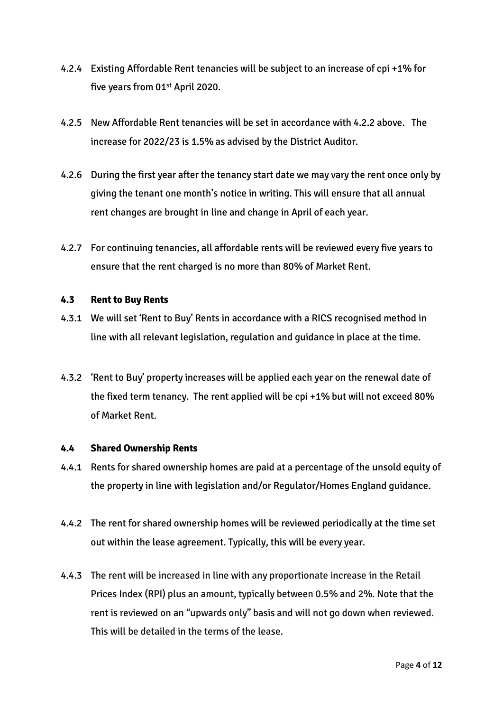- 4.2.4 Existing Affordable Rent tenancies will be subject to an increase of cpi +1% for five years from 01<sup>st</sup> April 2020.
- 4.2.5 New Affordable Rent tenancies will be set in accordance with 4.2.2 above. The increase for 2022/23 is 1.5% as advised by the District Auditor.
- 4.2.6 During the first year after the tenancy start date we may vary the rent once only by giving the tenant one month's notice in writing. This will ensure that all annual rent changes are brought in line and change in April of each year.
- 4.2.7 For continuing tenancies, all affordable rents will be reviewed every five years to ensure that the rent charged is no more than 80% of Market Rent.

#### **4.3 Rent to Buy Rents**

- 4.3.1 We will set 'Rent to Buy' Rents in accordance with a RICS recognised method in line with all relevant legislation, regulation and guidance in place at the time.
- 4.3.2 'Rent to Buy' property increases will be applied each year on the renewal date of the fixed term tenancy. The rent applied will be cpi +1% but will not exceed 80% of Market Rent.

#### **4.4 Shared Ownership Rents**

- 4.4.1 Rents for shared ownership homes are paid at a percentage of the unsold equity of the property in line with legislation and/or Regulator/Homes England guidance.
- 4.4.2 The rent for shared ownership homes will be reviewed periodically at the time set out within the lease agreement. Typically, this will be every year.
- 4.4.3 The rent will be increased in line with any proportionate increase in the Retail Prices Index (RPI) plus an amount, typically between 0.5% and 2%. Note that the rent is reviewed on an "upwards only" basis and will not go down when reviewed. This will be detailed in the terms of the lease.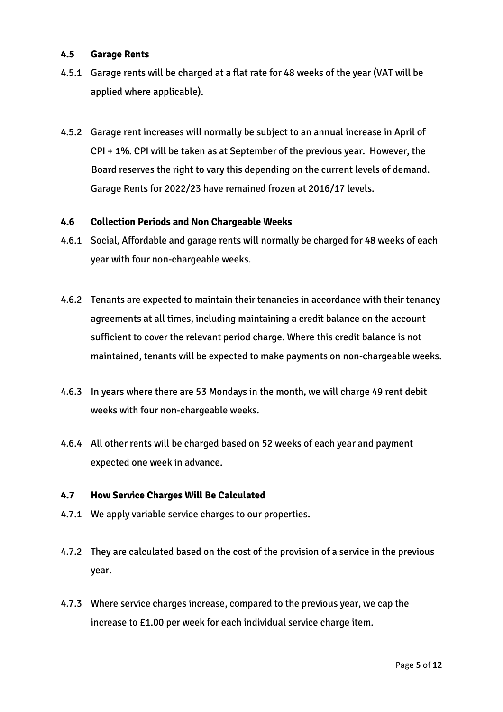#### **4.5 Garage Rents**

- 4.5.1 Garage rents will be charged at a flat rate for 48 weeks of the year (VAT will be applied where applicable).
- 4.5.2 Garage rent increases will normally be subject to an annual increase in April of CPI + 1%. CPI will be taken as at September of the previous year. However, the Board reserves the right to vary this depending on the current levels of demand. Garage Rents for 2022/23 have remained frozen at 2016/17 levels.

#### **4.6 Collection Periods and Non Chargeable Weeks**

- 4.6.1 Social, Affordable and garage rents will normally be charged for 48 weeks of each year with four non-chargeable weeks.
- 4.6.2 Tenants are expected to maintain their tenancies in accordance with their tenancy agreements at all times, including maintaining a credit balance on the account sufficient to cover the relevant period charge. Where this credit balance is not maintained, tenants will be expected to make payments on non-chargeable weeks.
- 4.6.3 In years where there are 53 Mondays in the month, we will charge 49 rent debit weeks with four non-chargeable weeks.
- 4.6.4 All other rents will be charged based on 52 weeks of each year and payment expected one week in advance.

#### **4.7 How Service Charges Will Be Calculated**

- 4.7.1 We apply variable service charges to our properties.
- 4.7.2 They are calculated based on the cost of the provision of a service in the previous year.
- 4.7.3 Where service charges increase, compared to the previous year, we cap the increase to £1.00 per week for each individual service charge item.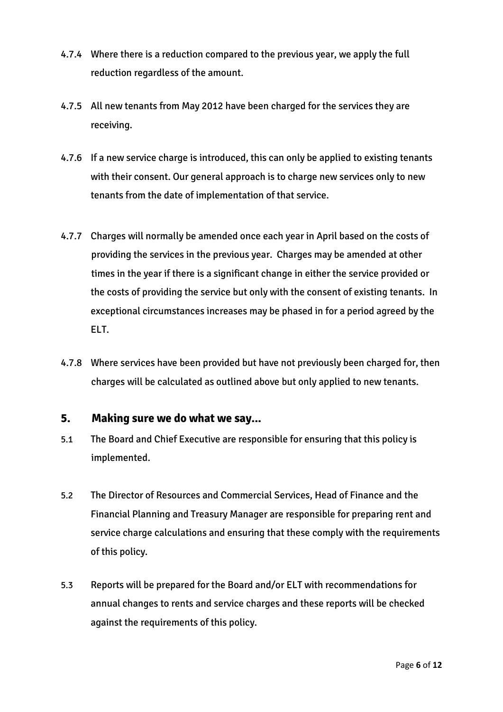- 4.7.4 Where there is a reduction compared to the previous year, we apply the full reduction regardless of the amount.
- 4.7.5 All new tenants from May 2012 have been charged for the services they are receiving.
- 4.7.6 If a new service charge is introduced, this can only be applied to existing tenants with their consent. Our general approach is to charge new services only to new tenants from the date of implementation of that service.
- 4.7.7 Charges will normally be amended once each year in April based on the costs of providing the services in the previous year. Charges may be amended at other times in the year if there is a significant change in either the service provided or the costs of providing the service but only with the consent of existing tenants. In exceptional circumstances increases may be phased in for a period agreed by the ELT.
- 4.7.8 Where services have been provided but have not previously been charged for, then charges will be calculated as outlined above but only applied to new tenants.

#### **5. Making sure we do what we say...**

- 5.1 The Board and Chief Executive are responsible for ensuring that this policy is implemented.
- 5.2 The Director of Resources and Commercial Services, Head of Finance and the Financial Planning and Treasury Manager are responsible for preparing rent and service charge calculations and ensuring that these comply with the requirements of this policy.
- 5.3 Reports will be prepared for the Board and/or ELT with recommendations for annual changes to rents and service charges and these reports will be checked against the requirements of this policy.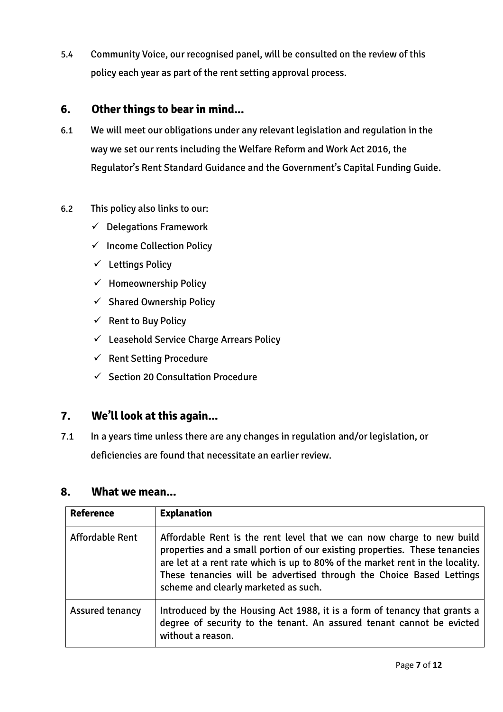5.4 Community Voice, our recognised panel, will be consulted on the review of this policy each year as part of the rent setting approval process.

### **6. Other things to bear in mind...**

- 6.1 We will meet our obligations under any relevant legislation and regulation in the way we set our rents including the Welfare Reform and Work Act 2016, the Regulator's Rent Standard Guidance and the Government's Capital Funding Guide.
- 6.2 This policy also links to our:
	- $\checkmark$  Delegations Framework
	- ✓ Income Collection Policy
	- ✓ Lettings Policy
	- $\checkmark$  Homeownership Policy
	- $\checkmark$  Shared Ownership Policy
	- $\checkmark$  Rent to Buy Policy
	- $\checkmark$  Leasehold Service Charge Arrears Policy
	- ✓ Rent Setting Procedure
	- ✓ Section 20 Consultation Procedure

# **7. We'll look at this again...**

7.1 In a years time unless there are any changes in regulation and/or legislation, or deficiencies are found that necessitate an earlier review.

#### **8. What we mean...**

| <b>Reference</b>       | <b>Explanation</b>                                                                                                                                                                                                                                                                                                                                   |
|------------------------|------------------------------------------------------------------------------------------------------------------------------------------------------------------------------------------------------------------------------------------------------------------------------------------------------------------------------------------------------|
| <b>Affordable Rent</b> | Affordable Rent is the rent level that we can now charge to new build<br>properties and a small portion of our existing properties. These tenancies<br>are let at a rent rate which is up to 80% of the market rent in the locality.<br>These tenancies will be advertised through the Choice Based Lettings<br>scheme and clearly marketed as such. |
| <b>Assured tenancy</b> | Introduced by the Housing Act 1988, it is a form of tenancy that grants a<br>degree of security to the tenant. An assured tenant cannot be evicted<br>without a reason.                                                                                                                                                                              |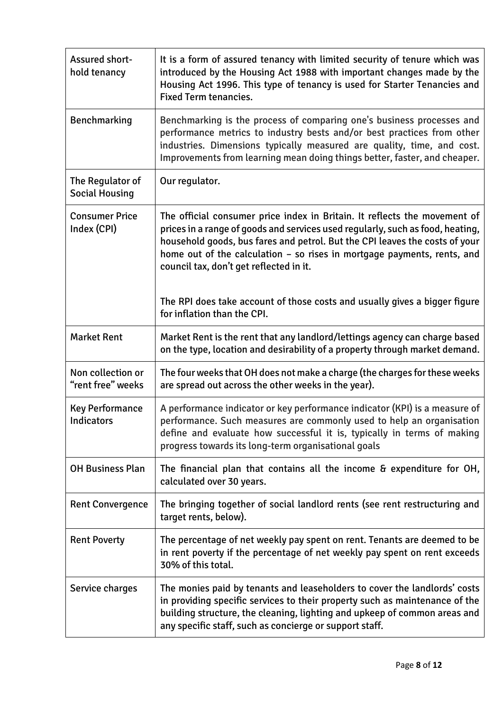| Assured short-<br>hold tenancy            | It is a form of assured tenancy with limited security of tenure which was<br>introduced by the Housing Act 1988 with important changes made by the<br>Housing Act 1996. This type of tenancy is used for Starter Tenancies and<br><b>Fixed Term tenancies.</b>                                                                                                   |
|-------------------------------------------|------------------------------------------------------------------------------------------------------------------------------------------------------------------------------------------------------------------------------------------------------------------------------------------------------------------------------------------------------------------|
| Benchmarking                              | Benchmarking is the process of comparing one's business processes and<br>performance metrics to industry bests and/or best practices from other<br>industries. Dimensions typically measured are quality, time, and cost.<br>Improvements from learning mean doing things better, faster, and cheaper.                                                           |
| The Regulator of<br><b>Social Housing</b> | Our regulator.                                                                                                                                                                                                                                                                                                                                                   |
| <b>Consumer Price</b><br>Index (CPI)      | The official consumer price index in Britain. It reflects the movement of<br>prices in a range of goods and services used regularly, such as food, heating,<br>household goods, bus fares and petrol. But the CPI leaves the costs of your<br>home out of the calculation - so rises in mortgage payments, rents, and<br>council tax, don't get reflected in it. |
|                                           | The RPI does take account of those costs and usually gives a bigger figure<br>for inflation than the CPI.                                                                                                                                                                                                                                                        |
| <b>Market Rent</b>                        | Market Rent is the rent that any landlord/lettings agency can charge based<br>on the type, location and desirability of a property through market demand.                                                                                                                                                                                                        |
| Non collection or<br>"rent free" weeks    | The four weeks that OH does not make a charge (the charges for these weeks<br>are spread out across the other weeks in the year).                                                                                                                                                                                                                                |
| <b>Key Performance</b><br>Indicators      | A performance indicator or key performance indicator (KPI) is a measure of<br>performance. Such measures are commonly used to help an organisation<br>define and evaluate how successful it is, typically in terms of making<br>progress towards its long-term organisational goals                                                                              |
| <b>OH Business Plan</b>                   | The financial plan that contains all the income & expenditure for OH,<br>calculated over 30 years.                                                                                                                                                                                                                                                               |
| <b>Rent Convergence</b>                   | The bringing together of social landlord rents (see rent restructuring and<br>target rents, below).                                                                                                                                                                                                                                                              |
| <b>Rent Poverty</b>                       | The percentage of net weekly pay spent on rent. Tenants are deemed to be<br>in rent poverty if the percentage of net weekly pay spent on rent exceeds<br>30% of this total.                                                                                                                                                                                      |
| Service charges                           | The monies paid by tenants and leaseholders to cover the landlords' costs<br>in providing specific services to their property such as maintenance of the<br>building structure, the cleaning, lighting and upkeep of common areas and<br>any specific staff, such as concierge or support staff.                                                                 |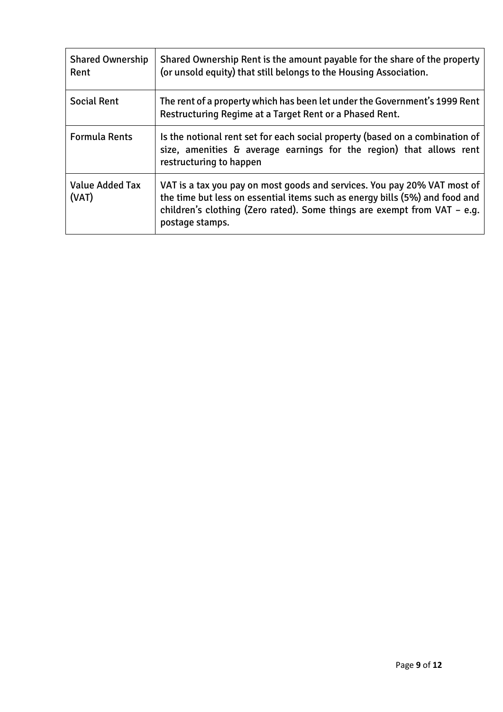| <b>Shared Ownership</b><br>Rent | Shared Ownership Rent is the amount payable for the share of the property<br>(or unsold equity) that still belongs to the Housing Association.                                                                                                         |
|---------------------------------|--------------------------------------------------------------------------------------------------------------------------------------------------------------------------------------------------------------------------------------------------------|
| <b>Social Rent</b>              | The rent of a property which has been let under the Government's 1999 Rent<br>Restructuring Regime at a Target Rent or a Phased Rent.                                                                                                                  |
| <b>Formula Rents</b>            | Is the notional rent set for each social property (based on a combination of<br>size, amenities & average earnings for the region) that allows rent<br>restructuring to happen                                                                         |
| <b>Value Added Tax</b><br>(VAT) | VAT is a tax you pay on most goods and services. You pay 20% VAT most of<br>the time but less on essential items such as energy bills (5%) and food and<br>children's clothing (Zero rated). Some things are exempt from VAT - e.g.<br>postage stamps. |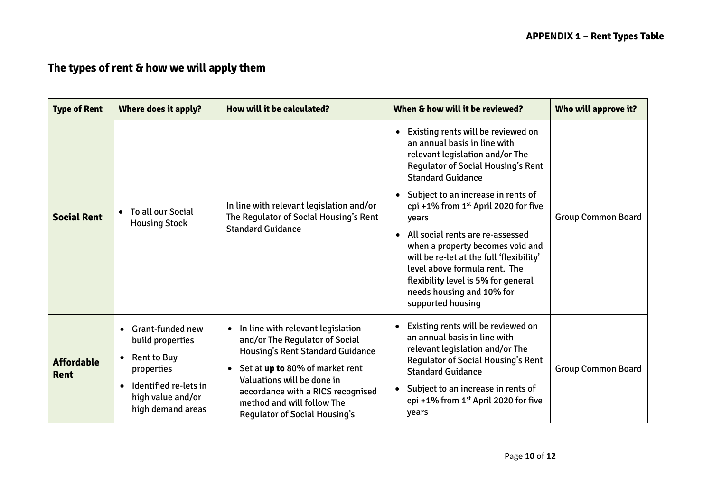# **The types of rent & how we will apply them**

| <b>Type of Rent</b>              | Where does it apply?                                                                                                                                                 | How will it be calculated?                                                                                                                                                                                                                                                                                     | When & how will it be reviewed?                                                                                                                                                                                                                                                                                                                                                                                                                                                                                                                              | Who will approve it?      |
|----------------------------------|----------------------------------------------------------------------------------------------------------------------------------------------------------------------|----------------------------------------------------------------------------------------------------------------------------------------------------------------------------------------------------------------------------------------------------------------------------------------------------------------|--------------------------------------------------------------------------------------------------------------------------------------------------------------------------------------------------------------------------------------------------------------------------------------------------------------------------------------------------------------------------------------------------------------------------------------------------------------------------------------------------------------------------------------------------------------|---------------------------|
| <b>Social Rent</b>               | To all our Social<br><b>Housing Stock</b>                                                                                                                            | In line with relevant legislation and/or<br>The Regulator of Social Housing's Rent<br><b>Standard Guidance</b>                                                                                                                                                                                                 | Existing rents will be reviewed on<br>$\bullet$<br>an annual basis in line with<br>relevant legislation and/or The<br><b>Regulator of Social Housing's Rent</b><br><b>Standard Guidance</b><br>Subject to an increase in rents of<br>$\bullet$<br>cpi +1% from $1st$ April 2020 for five<br>years<br>All social rents are re-assessed<br>$\bullet$<br>when a property becomes void and<br>will be re-let at the full 'flexibility'<br>level above formula rent. The<br>flexibility level is 5% for general<br>needs housing and 10% for<br>supported housing | <b>Group Common Board</b> |
| <b>Affordable</b><br><b>Rent</b> | <b>Grant-funded new</b><br>build properties<br><b>Rent to Buy</b><br>٠<br>properties<br>Identified re-lets in<br>$\bullet$<br>high value and/or<br>high demand areas | In line with relevant legislation<br>and/or The Regulator of Social<br><b>Housing's Rent Standard Guidance</b><br>Set at <b>up to</b> 80% of market rent<br>$\bullet$<br>Valuations will be done in<br>accordance with a RICS recognised<br>method and will follow The<br><b>Regulator of Social Housing's</b> | Existing rents will be reviewed on<br>$\bullet$<br>an annual basis in line with<br>relevant legislation and/or The<br><b>Regulator of Social Housing's Rent</b><br><b>Standard Guidance</b><br>Subject to an increase in rents of<br>$\bullet$<br>cpi+1% from 1 <sup>st</sup> April 2020 for five<br>years                                                                                                                                                                                                                                                   | <b>Group Common Board</b> |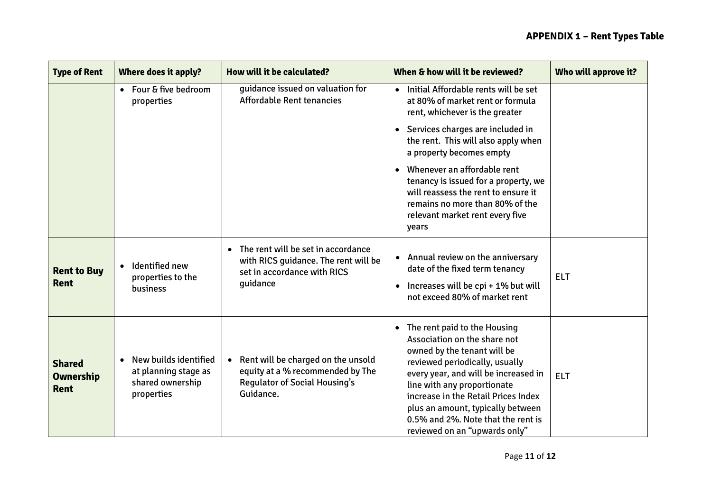| <b>Type of Rent</b>                              | Where does it apply?                                                                         | How will it be calculated?                                                                                                         | When & how will it be reviewed?                                                                                                                                                                                                                                                                                                                                      | Who will approve it? |
|--------------------------------------------------|----------------------------------------------------------------------------------------------|------------------------------------------------------------------------------------------------------------------------------------|----------------------------------------------------------------------------------------------------------------------------------------------------------------------------------------------------------------------------------------------------------------------------------------------------------------------------------------------------------------------|----------------------|
|                                                  | • Four & five bedroom<br>properties                                                          | quidance issued on valuation for<br><b>Affordable Rent tenancies</b>                                                               | Initial Affordable rents will be set<br>$\bullet$<br>at 80% of market rent or formula<br>rent, whichever is the greater                                                                                                                                                                                                                                              |                      |
|                                                  |                                                                                              |                                                                                                                                    | Services charges are included in<br>$\bullet$<br>the rent. This will also apply when<br>a property becomes empty                                                                                                                                                                                                                                                     |                      |
|                                                  |                                                                                              |                                                                                                                                    | Whenever an affordable rent<br>$\bullet$<br>tenancy is issued for a property, we<br>will reassess the rent to ensure it<br>remains no more than 80% of the<br>relevant market rent every five<br>years                                                                                                                                                               |                      |
| <b>Rent to Buy</b><br><b>Rent</b>                | Identified new<br>$\bullet$<br>properties to the<br>business                                 | The rent will be set in accordance<br>$\bullet$<br>with RICS guidance. The rent will be<br>set in accordance with RICS<br>guidance | Annual review on the anniversary<br>date of the fixed term tenancy<br>Increases will be cpi + 1% but will<br>not exceed 80% of market rent                                                                                                                                                                                                                           | <b>ELT</b>           |
| <b>Shared</b><br><b>Ownership</b><br><b>Rent</b> | New builds identified<br>$\bullet$<br>at planning stage as<br>shared ownership<br>properties | • Rent will be charged on the unsold<br>equity at a % recommended by The<br><b>Regulator of Social Housing's</b><br>Guidance.      | The rent paid to the Housing<br>$\bullet$<br>Association on the share not<br>owned by the tenant will be<br>reviewed periodically, usually<br>every year, and will be increased in<br>line with any proportionate<br>increase in the Retail Prices Index<br>plus an amount, typically between<br>0.5% and 2%. Note that the rent is<br>reviewed on an "upwards only" | <b>ELT</b>           |